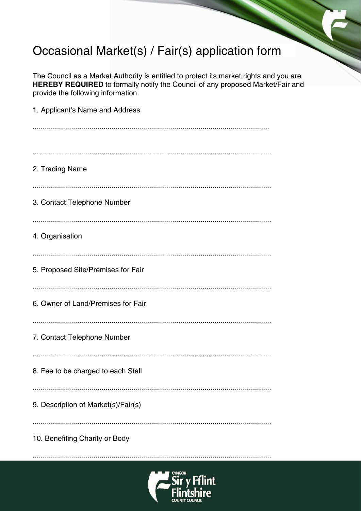## Occasional Market(s) / Fair(s) application form

The Council as a Market Authority is entitled to protect its market rights and you are HEREBY REQUIRED to formally notify the Council of any proposed Market/Fair and provide the following information.

| 1. Applicant's Name and Address     |
|-------------------------------------|
|                                     |
| 2. Trading Name                     |
| 3. Contact Telephone Number         |
| 4. Organisation                     |
| 5. Proposed Site/Premises for Fair  |
| 6. Owner of Land/Premises for Fair  |
| 7. Contact Telephone Number         |
| 8. Fee to be charged to each Stall  |
| 9. Description of Market(s)/Fair(s) |
| 10. Benefiting Charity or Body      |